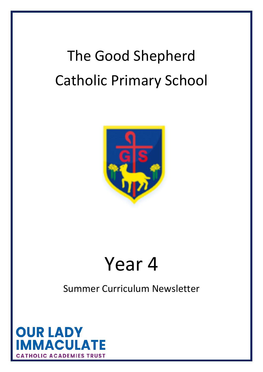# The Good Shepherd Catholic Primary School



## Year 4

### Summer Curriculum Newsletter

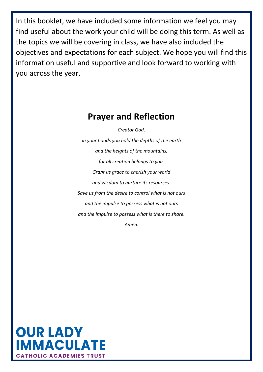In this booklet, we have included some information we feel you may find useful about the work your child will be doing this term. As well as the topics we will be covering in class, we have also included the objectives and expectations for each subject. We hope you will find this information useful and supportive and look forward to working with you across the year.

#### **Prayer and Reflection**

*Creator God,*

*in your hands you hold the depths of the earth and the heights of the mountains, for all creation belongs to you. Grant us grace to cherish your world and wisdom to nurture its resources. Save us from the desire to control what is not ours and the impulse to possess what is not ours and the impulse to possess what is there to share. Amen.*

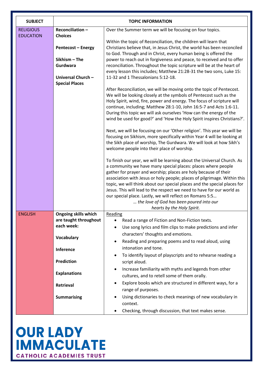| <b>SUBJECT</b>                       | <b>TOPIC INFORMATION</b>                                                                                                                                                                   |                                                                                                                                                                                                                                                                                                                                                                                                                                                                                                                                                                                                                                                                                                                                                                                                                                                                                                                                                                                                                                                                                                                                                                                                                                                                                                                                                                                                                                                                                                                                                                                                                                                                                                                                                                                                                             |
|--------------------------------------|--------------------------------------------------------------------------------------------------------------------------------------------------------------------------------------------|-----------------------------------------------------------------------------------------------------------------------------------------------------------------------------------------------------------------------------------------------------------------------------------------------------------------------------------------------------------------------------------------------------------------------------------------------------------------------------------------------------------------------------------------------------------------------------------------------------------------------------------------------------------------------------------------------------------------------------------------------------------------------------------------------------------------------------------------------------------------------------------------------------------------------------------------------------------------------------------------------------------------------------------------------------------------------------------------------------------------------------------------------------------------------------------------------------------------------------------------------------------------------------------------------------------------------------------------------------------------------------------------------------------------------------------------------------------------------------------------------------------------------------------------------------------------------------------------------------------------------------------------------------------------------------------------------------------------------------------------------------------------------------------------------------------------------------|
| <b>RELIGIOUS</b><br><b>EDUCATION</b> | Reconciliation-<br><b>Choices</b><br><b>Pentecost - Energy</b><br>Sikhism - The<br>Gurdwara<br>Universal Church-<br><b>Special Places</b>                                                  | Over the Summer term we will be focusing on four topics.<br>Within the topic of Reconciliation, the children will learn that<br>Christians believe that, in Jesus Christ, the world has been reconciled<br>to God. Through and in Christ, every human being is offered the<br>power to reach out in forgiveness and peace, to received and to offer<br>reconciliation. Throughout the topic scripture will be at the heart of<br>every lesson this includes; Matthew 21:28-31 the two sons, Luke 15:<br>11-32 and 1 Thessalonians 5:12-18.<br>After Reconciliation, we will be moving onto the topic of Pentecost.<br>We will be looking closely at the symbols of Pentecost such as the<br>Holy Spirit, wind, fire, power and energy. The focus of scripture will<br>continue, including; Matthew 28:1-10, John 16:5-7 and Acts 1:6-11.<br>During this topic we will ask ourselves 'How can the energy of the<br>wind be used for good?' and 'How the Holy Spirit inspires Christians?'.<br>Next, we will be focusing on our 'Other religion'. This year we will be<br>focusing on Sikhism, more specifically within Year 4 will be looking at<br>the Sikh place of worship, The Gurdwara. We will look at how Sikh's<br>welcome people into their place of worship.<br>To finish our year, we will be learning about the Universal Church. As<br>a community we have many special places: places where people<br>gather for prayer and worship; places are holy because of their<br>association with Jesus or holy people; places of pilgrimage. Within this<br>topic, we will think about our special places and the special places for<br>Jesus. This will lead to the respect we need to have for our world as<br>our special place. Lastly, we will reflect on Romans 5:5<br>the love of God has been poured into our |
| <b>ENGLISH</b>                       | <b>Ongoing skills which</b><br>are taught throughout<br>each week:<br><b>Vocabulary</b><br><b>Inference</b><br><b>Prediction</b><br><b>Explanations</b><br>Retrieval<br><b>Summarising</b> | hearts by the Holy Spirit.<br>Reading<br>Read a range of Fiction and Non-Fiction texts.<br>Use song lyrics and film clips to make predictions and infer<br>$\bullet$<br>characters' thoughts and emotions.<br>Reading and preparing poems and to read aloud, using<br>$\bullet$<br>intonation and tone.<br>To identify layout of playscripts and to rehearse reading a<br>$\bullet$<br>script aloud.<br>Increase familiarity with myths and legends from other<br>$\bullet$<br>cultures, and to retell some of them orally.<br>Explore books which are structured in different ways, for a<br>$\bullet$<br>range of purposes.<br>Using dictionaries to check meanings of new vocabulary in<br>$\bullet$<br>context.<br>Checking, through discussion, that text makes sense.<br>٠                                                                                                                                                                                                                                                                                                                                                                                                                                                                                                                                                                                                                                                                                                                                                                                                                                                                                                                                                                                                                                            |

### **OUR LADY<br>IMMACULATE CATHOLIC ACADEMIES TRUST**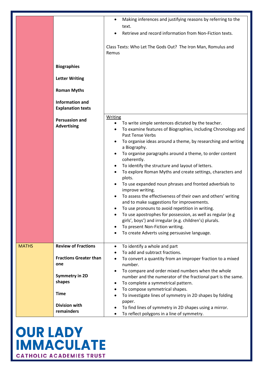|              | <b>Biographies</b><br><b>Letter Writing</b><br><b>Roman Myths</b><br><b>Information and</b><br><b>Explanation texts</b>                                    | Making inferences and justifying reasons by referring to the<br>$\bullet$<br>text.<br>Retrieve and record information from Non-Fiction texts.<br>Class Texts: Who Let The Gods Out? The Iron Man, Romulus and<br>Remus                                                                                                                                                                                                                                                                                                                                                                                                                                                                                                                                                                                                                                                                                                |
|--------------|------------------------------------------------------------------------------------------------------------------------------------------------------------|-----------------------------------------------------------------------------------------------------------------------------------------------------------------------------------------------------------------------------------------------------------------------------------------------------------------------------------------------------------------------------------------------------------------------------------------------------------------------------------------------------------------------------------------------------------------------------------------------------------------------------------------------------------------------------------------------------------------------------------------------------------------------------------------------------------------------------------------------------------------------------------------------------------------------|
|              | <b>Persuasion and</b><br><b>Advertising</b>                                                                                                                | <b>Writing</b><br>To write simple sentences dictated by the teacher.<br>$\bullet$<br>To examine features of Biographies, including Chronology and<br>Past Tense Verbs<br>To organise ideas around a theme, by researching and writing<br>a Biography.<br>To organise paragraphs around a theme, to order content<br>coherently.<br>To identify the structure and layout of letters.<br>To explore Roman Myths and create settings, characters and<br>plots.<br>To use expanded noun phrases and fronted adverbials to<br>improve writing.<br>To assess the effectiveness of their own and others' writing<br>and to make suggestions for improvements.<br>To use pronouns to avoid repetition in writing.<br>To use apostrophes for possession, as well as regular (e.g<br>girls', boys') and irregular (e.g. children's) plurals.<br>To present Non-Fiction writing.<br>To create Adverts using persuasive language. |
| <b>MATHS</b> | <b>Review of Fractions</b><br><b>Fractions Greater than</b><br>one<br><b>Symmetry in 2D</b><br>shapes<br><b>Time</b><br><b>Division with</b><br>remainders | To identify a whole and part<br>٠<br>To add and subtract fractions.<br>To convert a quantity from an improper fraction to a mixed<br>number.<br>To compare and order mixed numbers when the whole<br>number and the numerator of the fractional part is the same.<br>To complete a symmetrical pattern.<br>٠<br>To compose symmetrical shapes.<br>To investigate lines of symmetry in 2D shapes by folding<br>paper.<br>To find lines of symmetry in 2D shapes using a mirror.<br>To reflect polygons in a line of symmetry.                                                                                                                                                                                                                                                                                                                                                                                          |

### **OUR LADY<br>IMMACULATE CATHOLIC ACADEMIES TRUST**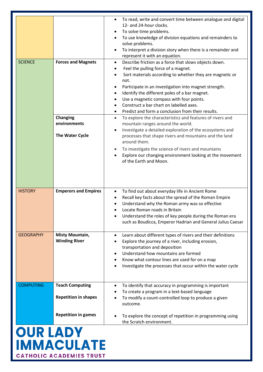|                   |                             | To read, write and convert time between analogue and digital<br>$\bullet$<br>12- and 24-hour clocks.<br>To solve time problems.<br>٠<br>To use knowledge of division equations and remainders to<br>solve problems. |  |
|-------------------|-----------------------------|---------------------------------------------------------------------------------------------------------------------------------------------------------------------------------------------------------------------|--|
|                   |                             | To interpret a division story when there is a remainder and<br>$\bullet$<br>represent it with an equation.                                                                                                          |  |
| <b>SCIENCE</b>    | <b>Forces and Magnets</b>   | Describe friction as a force that slows objects down.<br>$\bullet$                                                                                                                                                  |  |
|                   |                             | Feel the pulling force of a magnet.<br>٠                                                                                                                                                                            |  |
|                   |                             | Sort materials according to whether they are magnetic or<br>not.                                                                                                                                                    |  |
|                   |                             | Participate in an investigation into magnet strength.<br>٠                                                                                                                                                          |  |
|                   |                             | Identify the different poles of a bar magnet.<br>$\bullet$                                                                                                                                                          |  |
|                   |                             | Use a magnetic compass with four points.<br>٠                                                                                                                                                                       |  |
|                   |                             | Construct a bar chart on labelled axes.                                                                                                                                                                             |  |
|                   |                             | Predict and form a conclusion from their results.<br>٠                                                                                                                                                              |  |
|                   | <b>Changing</b>             | To explore the characteristics and features of rivers and<br>$\bullet$                                                                                                                                              |  |
|                   | environments                | mountain ranges around the world.                                                                                                                                                                                   |  |
|                   | The Water Cycle             | Investigate a detailed exploration of the ecosystems and<br>$\bullet$<br>processes that shape rivers and mountains and the land<br>around them.                                                                     |  |
|                   |                             | To investigate the science of rivers and mountains<br>$\bullet$                                                                                                                                                     |  |
|                   |                             | Explore our changing environment looking at the movement                                                                                                                                                            |  |
|                   |                             | of the Earth and Moon.                                                                                                                                                                                              |  |
|                   |                             |                                                                                                                                                                                                                     |  |
| <b>HISTORY</b>    | <b>Emperors and Empires</b> | To find out about everyday life in Ancient Rome<br>$\bullet$                                                                                                                                                        |  |
|                   |                             | Recall key facts about the spread of the Roman Empire<br>٠                                                                                                                                                          |  |
|                   |                             | Understand why the Roman army was so effective                                                                                                                                                                      |  |
|                   |                             | Locate Roman roads in Britain                                                                                                                                                                                       |  |
|                   |                             | Understand the roles of key people during the Roman era<br>٠<br>such as Boudicca, Emperor Hadrian and General Julius Caesar                                                                                         |  |
|                   |                             |                                                                                                                                                                                                                     |  |
| <b>GEOGRAPHY</b>  | <b>Misty Mountain,</b>      | Learn about different types of rivers and their definitions<br>$\bullet$                                                                                                                                            |  |
|                   | <b>Winding River</b>        | Explore the journey of a river, including erosion,                                                                                                                                                                  |  |
|                   |                             | transportation and deposition                                                                                                                                                                                       |  |
|                   |                             | Understand how mountains are formed                                                                                                                                                                                 |  |
|                   |                             | Know what contour lines are used for on a map                                                                                                                                                                       |  |
|                   |                             | Investigate the processes that occur within the water cycle                                                                                                                                                         |  |
|                   |                             |                                                                                                                                                                                                                     |  |
|                   |                             |                                                                                                                                                                                                                     |  |
| <b>COMPUTING</b>  | <b>Teach Computing</b>      | To identify that accuracy in programming is important<br>$\bullet$                                                                                                                                                  |  |
|                   | <b>Repetition in shapes</b> | To create a program in a text-based language                                                                                                                                                                        |  |
|                   |                             | To modify a count-controlled loop to produce a given<br>outcome.                                                                                                                                                    |  |
|                   | <b>Repetition in games</b>  | To explore the concept of repetition in programming using                                                                                                                                                           |  |
|                   |                             | the Scratch environment.                                                                                                                                                                                            |  |
|                   |                             |                                                                                                                                                                                                                     |  |
| <b>OUR LADY</b>   |                             |                                                                                                                                                                                                                     |  |
|                   |                             |                                                                                                                                                                                                                     |  |
| <b>IMMACULATE</b> |                             |                                                                                                                                                                                                                     |  |

**CATHOLIC ACADEMIES TRUST**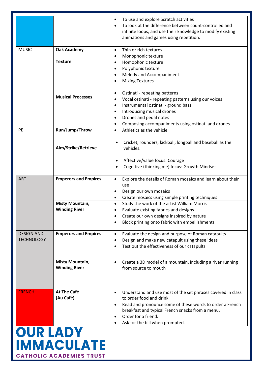|                                 |                             | To use and explore Scratch activities<br>٠<br>To look at the difference between count-controlled and<br>infinite loops, and use their knowledge to modify existing<br>animations and games using repetition. |  |  |
|---------------------------------|-----------------------------|--------------------------------------------------------------------------------------------------------------------------------------------------------------------------------------------------------------|--|--|
| <b>MUSIC</b>                    | <b>Oak Academy</b>          | Thin or rich textures<br>Monophonic texture<br>٠                                                                                                                                                             |  |  |
|                                 | <b>Texture</b>              | Homophonic texture                                                                                                                                                                                           |  |  |
|                                 |                             | Polyphonic texture<br>٠                                                                                                                                                                                      |  |  |
|                                 |                             | Melody and Accompaniment                                                                                                                                                                                     |  |  |
|                                 |                             | <b>Mixing Textures</b>                                                                                                                                                                                       |  |  |
|                                 |                             | Ostinati - repeating patterns                                                                                                                                                                                |  |  |
|                                 | <b>Musical Processes</b>    | Vocal ostinati - repeating patterns using our voices<br>٠                                                                                                                                                    |  |  |
|                                 |                             | Instrumental ostinati - ground bass<br>$\bullet$                                                                                                                                                             |  |  |
|                                 |                             | Introducing musical drones<br>٠                                                                                                                                                                              |  |  |
|                                 |                             | Drones and pedal notes                                                                                                                                                                                       |  |  |
|                                 |                             | Composing accompaniments using ostinati and drones                                                                                                                                                           |  |  |
| PE                              | Run/Jump/Throw              | Athletics as the vehicle.<br>$\bullet$                                                                                                                                                                       |  |  |
|                                 | Aim/Strike/Retrieve         | Cricket, rounders, kickball, longball and baseball as the<br>vehicles.                                                                                                                                       |  |  |
|                                 |                             | Affective/value focus: Courage                                                                                                                                                                               |  |  |
|                                 |                             | Cognitive (thinking me) focus: Growth Mindset<br>$\bullet$                                                                                                                                                   |  |  |
| <b>ART</b>                      | <b>Emperors and Empires</b> | Explore the details of Roman mosaics and learn about their<br>use                                                                                                                                            |  |  |
|                                 |                             | Design our own mosaics                                                                                                                                                                                       |  |  |
|                                 |                             | Create mosaics using simple printing techniques                                                                                                                                                              |  |  |
|                                 | <b>Misty Mountain,</b>      | Study the work of the artist William Morris<br>$\bullet$                                                                                                                                                     |  |  |
|                                 | <b>Winding River</b>        | Evaluate existing fabrics and designs                                                                                                                                                                        |  |  |
|                                 |                             | Create our own designs inspired by nature                                                                                                                                                                    |  |  |
|                                 |                             | Block printing onto fabric with embellishments                                                                                                                                                               |  |  |
| <b>DESIGN AND</b>               | <b>Emperors and Empires</b> | Evaluate the design and purpose of Roman catapults                                                                                                                                                           |  |  |
| <b>TECHNOLOGY</b>               |                             | Design and make new catapult using these ideas                                                                                                                                                               |  |  |
|                                 |                             | Test out the effectiveness of our catapults                                                                                                                                                                  |  |  |
|                                 | <b>Misty Mountain,</b>      | Create a 3D model of a mountain, including a river running<br>$\bullet$                                                                                                                                      |  |  |
|                                 | <b>Winding River</b>        | from source to mouth                                                                                                                                                                                         |  |  |
| <b>FRENCH</b>                   | <b>At The Café</b>          | Understand and use most of the set phrases covered in class                                                                                                                                                  |  |  |
|                                 | (Au Café)                   | to order food and drink.                                                                                                                                                                                     |  |  |
|                                 |                             | Read and pronounce some of these words to order a French                                                                                                                                                     |  |  |
|                                 |                             | breakfast and typical French snacks from a menu.                                                                                                                                                             |  |  |
|                                 |                             | Order for a friend.                                                                                                                                                                                          |  |  |
|                                 |                             | Ask for the bill when prompted.                                                                                                                                                                              |  |  |
| <b>OUR LADY</b>                 |                             |                                                                                                                                                                                                              |  |  |
|                                 |                             |                                                                                                                                                                                                              |  |  |
| <b>IMMACULATE</b>               |                             |                                                                                                                                                                                                              |  |  |
| <b>CATHOLIC ACADEMIES TRUST</b> |                             |                                                                                                                                                                                                              |  |  |